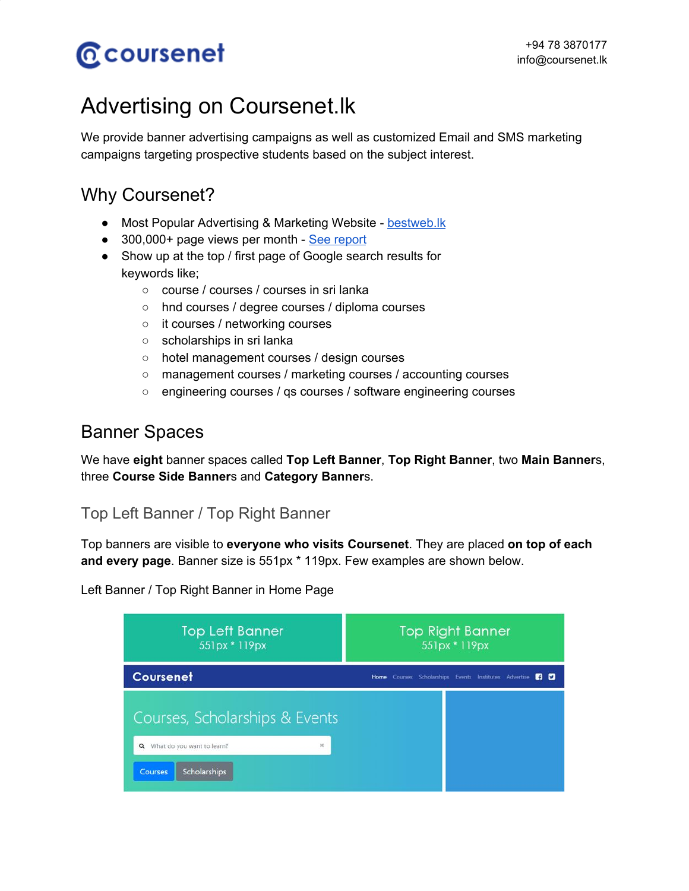# **@coursenet**

# Advertising on Coursenet.lk

We provide banner advertising campaigns as well as customized Email and SMS marketing campaigns targeting prospective students based on the subject interest.

## Why Coursenet?

- Most Popular Advertising & Marketing Website [bestweb.lk](http://www.bestweb.lk/2017-winners/)
- 300,000+ page views per month See [report](https://www.coursenet.lk/analytics.pdf)
- Show up at the top / first page of Google search results for keywords like;
	- course / courses / courses in sri lanka
	- hnd courses / degree courses / diploma courses
	- it courses / networking courses
	- scholarships in sri lanka
	- hotel management courses / design courses
	- management courses / marketing courses / accounting courses
	- engineering courses / qs courses / software engineering courses

# Banner Spaces

We have **eight** banner spaces called **Top Left Banner**, **Top Right Banner**, two **Main Banner**s, three **Course Side Banner**s and **Category Banner**s.

## Top Left Banner / Top Right Banner

Top banners are visible to **everyone who visits Coursenet**. They are placed **on top of each and every page**. Banner size is 551px \* 119px. Few examples are shown below.

Left Banner / Top Right Banner in Home Page

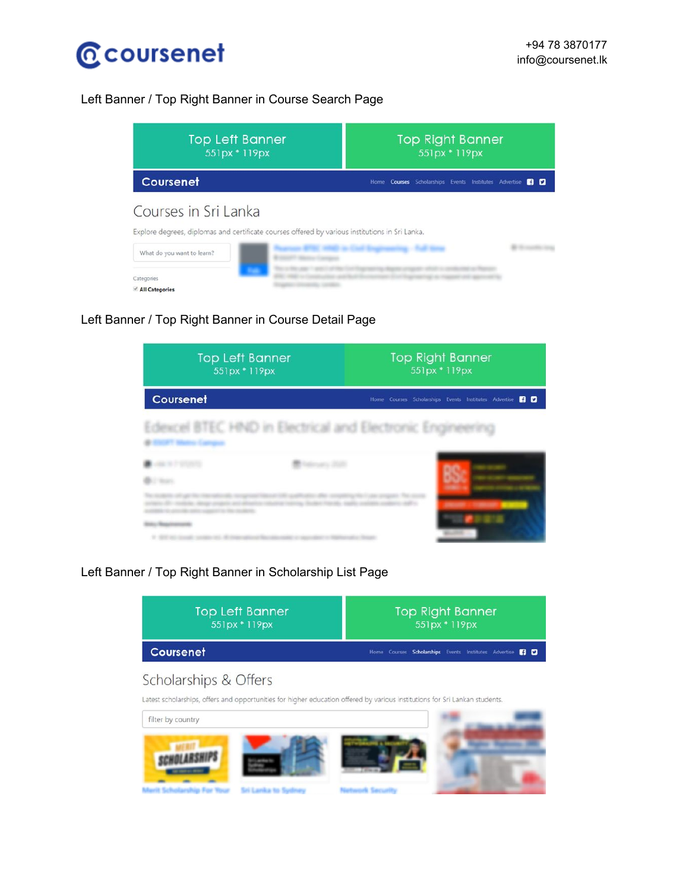

#### Left Banner / Top Right Banner in Course Search Page

| <b>Top Left Banner</b><br>551px * 119px                                                                                 | <b>Top Right Banner</b><br>551px * 119px                         |
|-------------------------------------------------------------------------------------------------------------------------|------------------------------------------------------------------|
| Coursenet                                                                                                               | Home Courses Scholarships Events Institutes Advertise <b>3 D</b> |
| Courses in Sri Lanka<br>Explore degrees, diplomas and certificate courses offered by various institutions in Sri Lanka. |                                                                  |
| What do you want to learn?                                                                                              |                                                                  |
| Categories<br>All Categories                                                                                            |                                                                  |

Left Banner / Top Right Banner in Course Detail Page

| <b>Top Left Banner</b><br>551px * 119px                | <b>Top Right Banner</b><br>551px * 119px                           |
|--------------------------------------------------------|--------------------------------------------------------------------|
| Coursenet                                              | Home Courses Scholarships Events Institutes Advertise<br><b>BD</b> |
| Edexcel BTEC HND in Electrical and Electronic Engineer |                                                                    |
|                                                        |                                                                    |
|                                                        |                                                                    |

#### Left Banner / Top Right Banner in Scholarship List Page

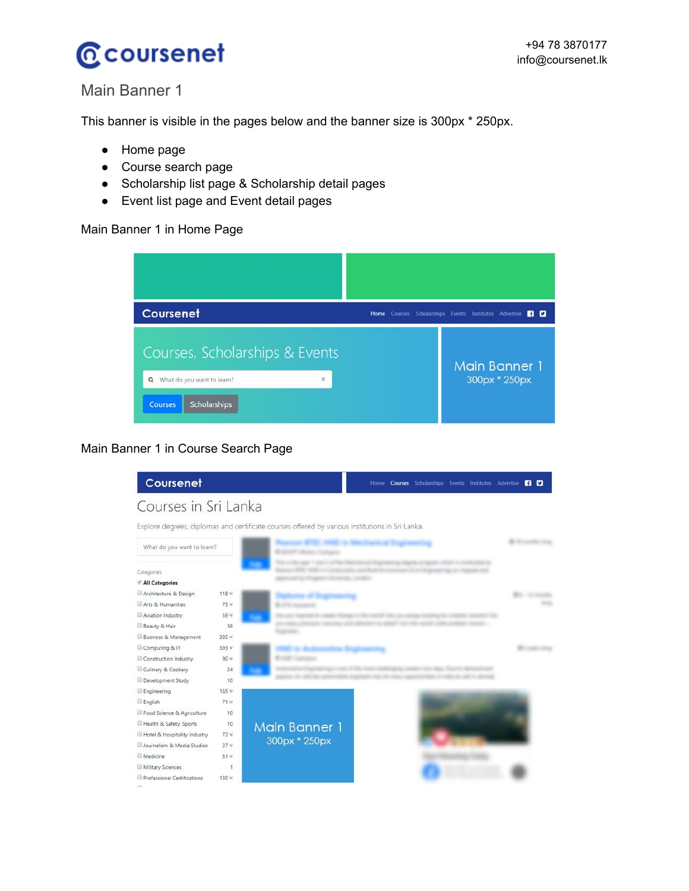

### Main Banner 1

This banner is visible in the pages below and the banner size is 300px \* 250px.

- Home page
- Course search page
- Scholarship list page & Scholarship detail pages
- Event list page and Event detail pages

#### Main Banner 1 in Home Page



#### Main Banner 1 in Course Search Page

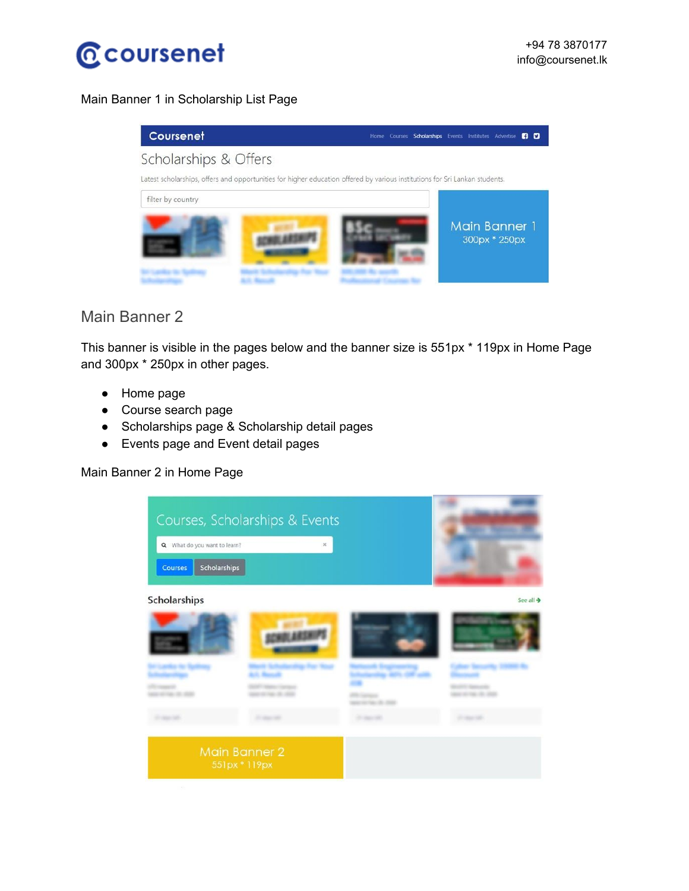

#### Main Banner 1 in Scholarship List Page



### Main Banner 2

This banner is visible in the pages below and the banner size is 551px \* 119px in Home Page and 300px \* 250px in other pages.

- Home page
- Course search page
- Scholarships page & Scholarship detail pages
- Events page and Event detail pages

#### Main Banner 2 in Home Page

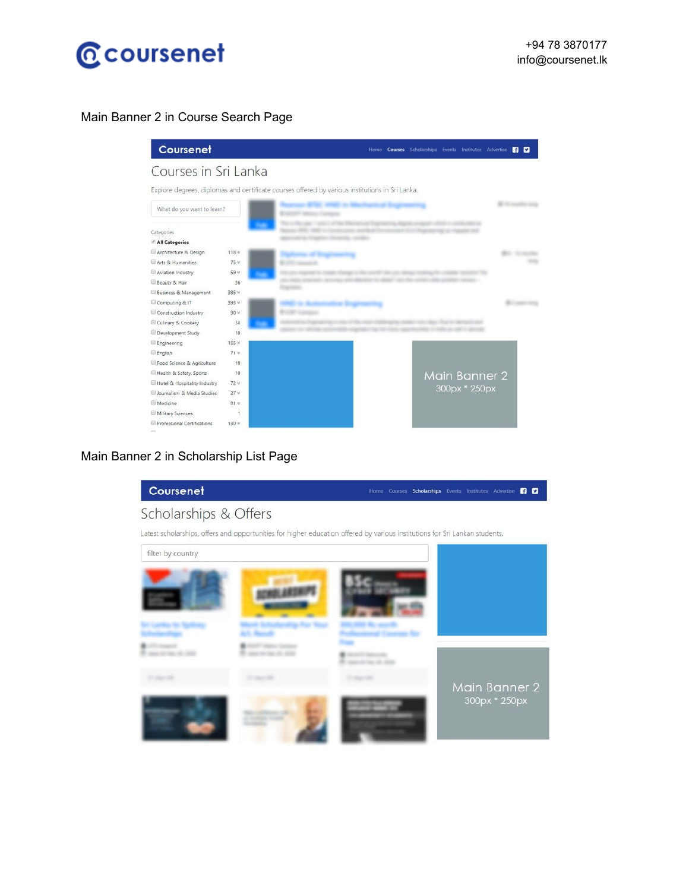

#### Main Banner 2 in Course Search Page



#### Main Banner 2 in Scholarship List Page

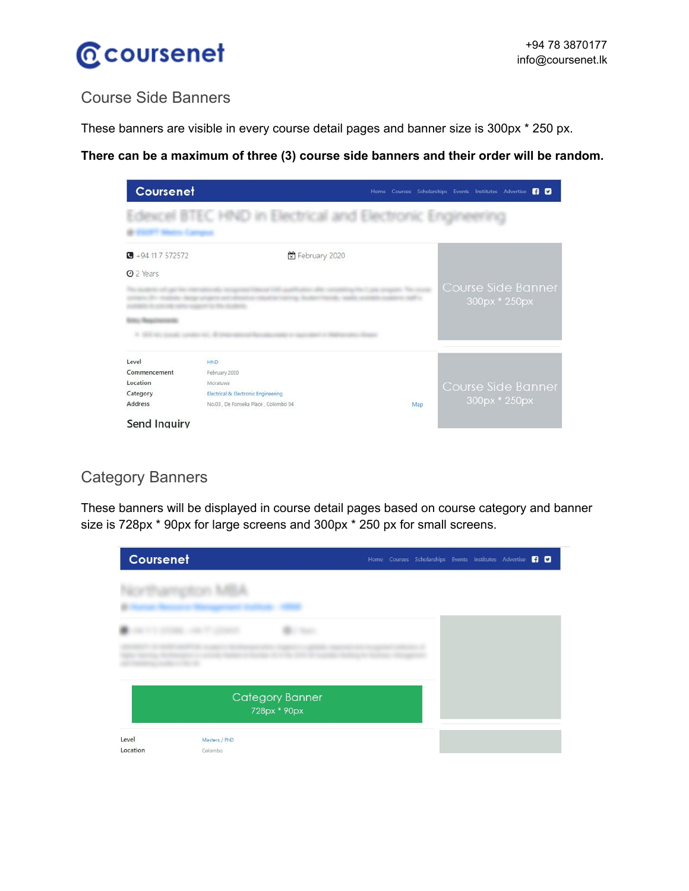

## Course Side Banners

These banners are visible in every course detail pages and banner size is 300px \* 250 px.

**There can be a maximum of three (3) course side banners and their order will be random.**

| Coursenet                 |                                     | <b>BD</b><br>Home Courses Scholarships Events Institutes Advertise |  |
|---------------------------|-------------------------------------|--------------------------------------------------------------------|--|
|                           |                                     |                                                                    |  |
| $\bullet$ +94 11 7 572572 | February 2020                       |                                                                    |  |
| <b>O</b> 2 Years          |                                     |                                                                    |  |
|                           |                                     | Course Side Banner                                                 |  |
|                           |                                     | 300px * 250px                                                      |  |
|                           |                                     |                                                                    |  |
|                           |                                     |                                                                    |  |
| Level                     | <b>HND</b>                          |                                                                    |  |
| Commencement              | February 2020                       |                                                                    |  |
| Location                  | Moratuwa                            | Course Side Banner                                                 |  |
| Category                  | Electrical & Electronic Engineering |                                                                    |  |
| Address                   | No.03, De Fonseka Place, Colombo 04 | 300px * 250px<br>Map                                               |  |
| <b>Send Inquiry</b>       |                                     |                                                                    |  |

## Category Banners

These banners will be displayed in course detail pages based on course category and banner size is 728px \* 90px for large screens and 300px \* 250 px for small screens.

| Coursenet         |                          |                                        |  | Home Courses Scholarships Events Institutes Advertise FI D |  |  |  |
|-------------------|--------------------------|----------------------------------------|--|------------------------------------------------------------|--|--|--|
|                   |                          |                                        |  |                                                            |  |  |  |
|                   |                          |                                        |  |                                                            |  |  |  |
|                   |                          |                                        |  |                                                            |  |  |  |
|                   |                          | <b>Category Banner</b><br>728px * 90px |  |                                                            |  |  |  |
| Level<br>Location | Masters / PhD<br>Colombo |                                        |  |                                                            |  |  |  |